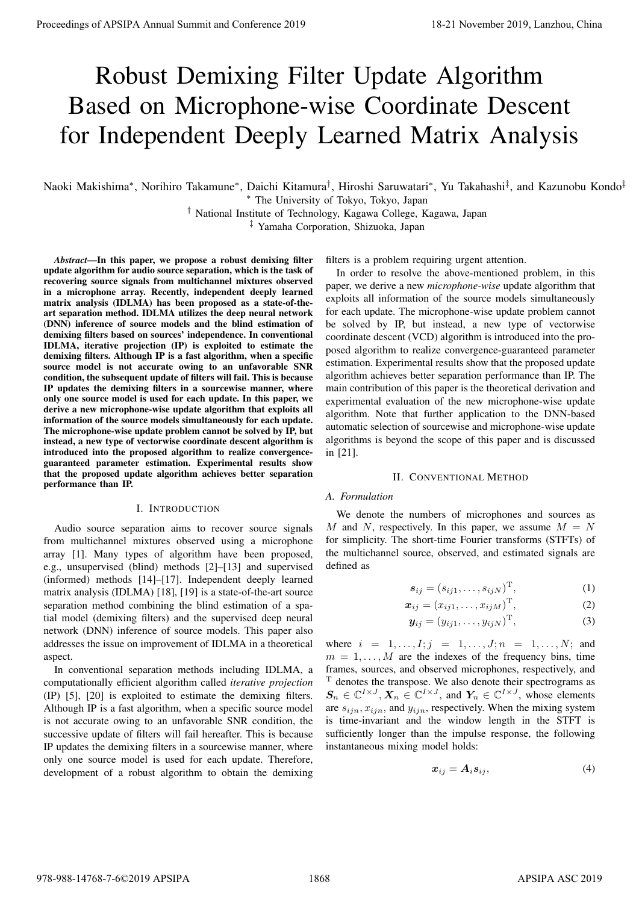# Robust Demixing Filter Update Algorithm Based on Microphone-wise Coordinate Descent for Independent Deeply Learned Matrix Analysis

Naoki Makishima*<sup>∗</sup>* , Norihiro Takamune*<sup>∗</sup>* , Daichi Kitamura*†* , Hiroshi Saruwatari*<sup>∗</sup>* , Yu Takahashi*‡* , and Kazunobu Kondo*‡ <sup>∗</sup>* The University of Tokyo, Tokyo, Japan

> *†* National Institute of Technology, Kagawa College, Kagawa, Japan *‡* Yamaha Corporation, Shizuoka, Japan

*Abstract*—In this paper, we propose a robust demixing filter update algorithm for audio source separation, which is the task of recovering source signals from multichannel mixtures observed in a microphone array. Recently, independent deeply learned matrix analysis (IDLMA) has been proposed as a state-of-theart separation method. IDLMA utilizes the deep neural network (DNN) inference of source models and the blind estimation of demixing filters based on sources' independence. In conventional IDLMA, iterative projection (IP) is exploited to estimate the demixing filters. Although IP is a fast algorithm, when a specific source model is not accurate owing to an unfavorable SNR condition, the subsequent update of filters will fail. This is because IP updates the demixing filters in a sourcewise manner, where only one source model is used for each update. In this paper, we derive a new microphone-wise update algorithm that exploits all information of the source models simultaneously for each update. The microphone-wise update problem cannot be solved by IP, but instead, a new type of vectorwise coordinate descent algorithm is introduced into the proposed algorithm to realize convergenceguaranteed parameter estimation. Experimental results show that the proposed update algorithm achieves better separation performance than IP. **Proceedings of APSIPA Annual Summit at China 978-988-14768**<br> **Robust Demixing Filter Update Algorithm**<br> **Based on Microphone-wise Coordinate Descent for Microsoftenial Summit and Summit and Summit and Summit and Coordina** 

## I. INTRODUCTION

Audio source separation aims to recover source signals from multichannel mixtures observed using a microphone array [1]. Many types of algorithm have been proposed, e.g., unsupervised (blind) methods [2]–[13] and supervised (informed) methods [14]–[17]. Independent deeply learned matrix analysis (IDLMA) [18], [19] is a state-of-the-art source separation method combining the blind estimation of a spatial model (demixing filters) and the supervised deep neural network (DNN) inference of source models. This paper also addresses the issue on improvement of IDLMA in a theoretical aspect.

In conventional separation methods including IDLMA, a computationally efficient algorithm called *iterative projection* (IP) [5], [20] is exploited to estimate the demixing filters. Although IP is a fast algorithm, when a specific source model is not accurate owing to an unfavorable SNR condition, the successive update of filters will fail hereafter. This is because IP updates the demixing filters in a sourcewise manner, where only one source model is used for each update. Therefore, development of a robust algorithm to obtain the demixing

filters is a problem requiring urgent attention.

In order to resolve the above-mentioned problem, in this paper, we derive a new *microphone-wise* update algorithm that exploits all information of the source models simultaneously for each update. The microphone-wise update problem cannot be solved by IP, but instead, a new type of vectorwise coordinate descent (VCD) algorithm is introduced into the proposed algorithm to realize convergence-guaranteed parameter estimation. Experimental results show that the proposed update algorithm achieves better separation performance than IP. The main contribution of this paper is the theoretical derivation and experimental evaluation of the new microphone-wise update algorithm. Note that further application to the DNN-based automatic selection of sourcewise and microphone-wise update algorithms is beyond the scope of this paper and is discussed in [21].

#### II. CONVENTIONAL METHOD

#### *A. Formulation*

We denote the numbers of microphones and sources as *M* and *N*, respectively. In this paper, we assume  $M = N$ for simplicity. The short-time Fourier transforms (STFTs) of the multichannel source, observed, and estimated signals are defined as

$$
\mathbf{s}_{ij} = (s_{ij1}, \dots, s_{ijN}) \quad , \tag{1}
$$

$$
\boldsymbol{x}_{ij} = (x_{ij1}, \ldots, x_{ijM}) \quad , \tag{2}
$$

$$
\mathbf{y}_{ij} = (y_{ij1}, \dots, y_{ijN}) \quad , \tag{3}
$$

where  $i = 1, ..., I; j = 1, ..., J; n = 1, ..., N;$  and  $m = 1, \ldots, M$  are the indexes of the frequency bins, time frames, sources, and observed microphones, respectively, and

denotes the transpose. We also denote their spectrograms as  $S_n \in \mathbb{C}^{I \times J}$ ,  $X_n \in \mathbb{C}^{I \times J}$ , and  $Y_n \in \mathbb{C}^{I \times J}$ , whose elements are *sijn, xijn,* and *yijn*, respectively. When the mixing system is time-invariant and the window length in the STFT is sufficiently longer than the impulse response, the following instantaneous mixing model holds:

$$
x_{ij} = A_i s_{ij}, \tag{4}
$$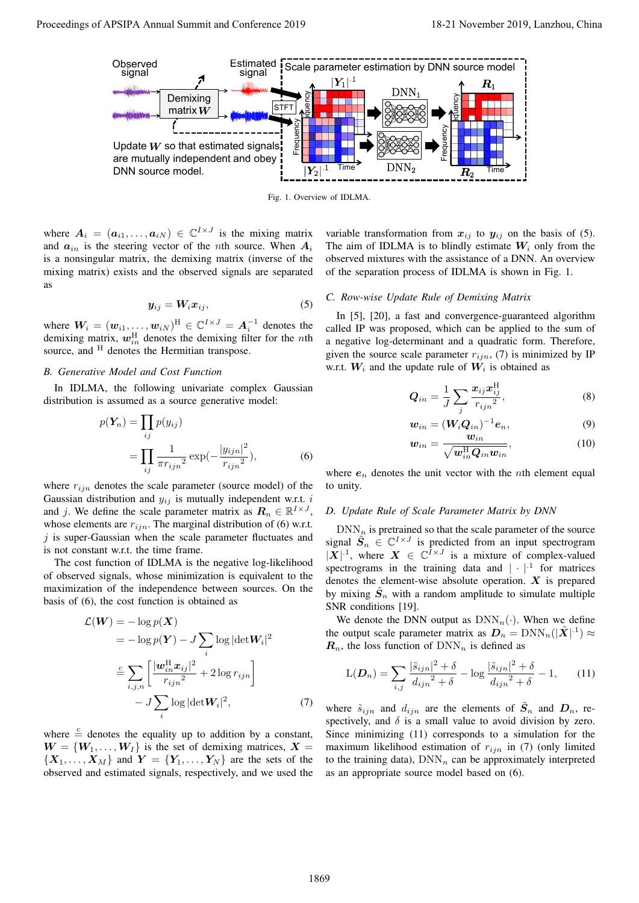

Fig. 1. Overview of IDLMA.

where  $A_i = (a_{i1}, \dots, a_{iN}) \in \mathbb{C}^{I \times J}$  is the mixing matrix and  $a_{in}$  is the steering vector of the *n*th source. When  $A_i$ is a nonsingular matrix, the demixing matrix (inverse of the mixing matrix) exists and the observed signals are separated as

$$
y_{ij} = W_i x_{ij},\tag{5}
$$

where  $\textbf{\emph{W}}_{i}=(\textbf{\emph{w}}_{i1},\ldots,\textbf{\emph{w}}_{iN})^{\text{H}}\in \mathbb{C}^{I\times J}=\textbf{\emph{A}}_{i}^{-1}$  denotes the demixing matrix,  $w_{in}^{\text{H}}$  denotes the demixing filter for the *n*th source, and <sup>H</sup> denotes the Hermitian transpose.

## *B. Generative Model and Cost Function*

In IDLMA, the following univariate complex Gaussian distribution is assumed as a source generative model:

$$
p(\boldsymbol{Y}_n) = \prod_{ij} p(y_{ij})
$$
  
= 
$$
\prod_{ij} \frac{1}{\pi r_{ijn}^2} \exp(-\frac{|y_{ijn}|^2}{r_{ijn}^2}),
$$
 (6)

where *rijn* denotes the scale parameter (source model) of the Gaussian distribution and *yij* is mutually independent w.r.t. *i* and *j*. We define the scale parameter matrix as  $\mathbf{R}_n \in \mathbb{R}^{I \times J}$ , whose elements are  $r_{i j n}$ . The marginal distribution of (6) w.r.t. *j* is super-Gaussian when the scale parameter fluctuates and is not constant w.r.t. the time frame.

The cost function of IDLMA is the negative log-likelihood of observed signals, whose minimization is equivalent to the maximization of the independence between sources. On the basis of (6), the cost function is obtained as

$$
\mathcal{L}(\boldsymbol{W}) = -\log p(\boldsymbol{X})
$$
  
=  $-\log p(\boldsymbol{Y}) - J \sum_{i} \log |\det \boldsymbol{W}_{i}|^{2}$   

$$
\stackrel{c}{=} \sum_{i,j,n} \left[ \frac{|\boldsymbol{w}_{in}^{\mathrm{H}} \boldsymbol{x}_{ij}|^{2}}{r_{ijn}^{2}} + 2 \log r_{ijn} \right]
$$
  

$$
- J \sum_{i} \log |\det \boldsymbol{W}_{i}|^{2}, \qquad (7)
$$

where  $\stackrel{c}{=}$  denotes the equality up to addition by a constant,  $W = \{W_1, \ldots, W_I\}$  is the set of demixing matrices,  $X =$  ${X_1, \ldots, X_M}$  and  $Y = {Y_1, \ldots, Y_N}$  are the sets of the observed and estimated signals, respectively, and we used the

variable transformation from  $x_{ij}$  to  $y_{ij}$  on the basis of (5). The aim of IDLMA is to blindly estimate  $W_i$  only from the observed mixtures with the assistance of a DNN. An overview of the separation process of IDLMA is shown in Fig. 1.

#### *C. Row-wise Update Rule of Demixing Matrix*

In [5], [20], a fast and convergence-guaranteed algorithm called IP was proposed, which can be applied to the sum of a negative log-determinant and a quadratic form. Therefore, given the source scale parameter  $r_{ijn}$ , (7) is minimized by IP w.r.t.  $W_i$  and the update rule of  $W_i$  is obtained as

$$
Q_{in} = \frac{1}{J} \sum_{j} \frac{x_{ij} x_{ij}^{\text{H}}}{r_{ijn}^{2}},
$$
\n(8)

$$
\mathbf{w}_{in} = (\mathbf{W}_i \mathbf{Q}_{in})^{-1} \mathbf{e}_n,\tag{9}
$$

$$
\boldsymbol{w}_{in} = \frac{\boldsymbol{w}_{in}}{\sqrt{\boldsymbol{w}_{in}^{\mathrm{H}}\boldsymbol{Q}_{in}\boldsymbol{w}_{in}}},\tag{10}
$$

where  $e_n$  denotes the unit vector with the *n*th element equal to unity.

## *D. Update Rule of Scale Parameter Matrix by DNN*

 $DNN_n$  is pretrained so that the scale parameter of the source signal  $\tilde{S}_n \in \mathbb{C}^{I \times J}$  is predicted from an input spectrogram  $|X|$ <sup>-1</sup>, where  $X \in \mathbb{C}^{I \times J}$  is a mixture of complex-valued spectrograms in the training data and  $| \cdot |^{1}$  for matrices denotes the element-wise absolute operation. *X* is prepared by mixing  $\tilde{S}_n$  with a random amplitude to simulate multiple SNR conditions [19].

We denote the DNN output as  $DNN_n(\cdot)$ . When we define the output scale parameter matrix as  $D_n = \text{DNN}_n(|\tilde{X}|^{1}) \approx$  $R_n$ , the loss function of  $DNN_n$  is defined as

$$
L(\mathbf{D}_n) = \sum_{i,j} \frac{|\tilde{s}_{ijn}|^2 + \delta}{d_{ijn}^2 + \delta} - \log \frac{|\tilde{s}_{ijn}|^2 + \delta}{d_{ijn}^2 + \delta} - 1,\qquad(11)
$$

where  $\tilde{s}_{ijn}$  and  $d_{ijn}$  are the elements of  $\tilde{S}_n$  and  $D_n$ , respectively, and  $\delta$  is a small value to avoid division by zero. Since minimizing (11) corresponds to a simulation for the maximum likelihood estimation of  $r_{ijn}$  in (7) (only limited to the training data),  $DNN_n$  can be approximately interpreted as an appropriate source model based on (6).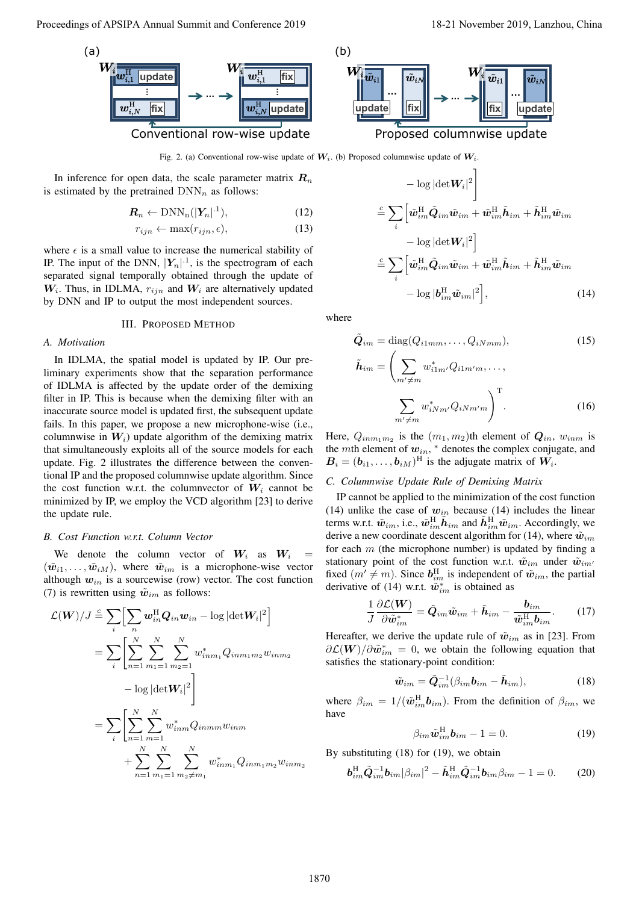



Fig. 2. (a) Conventional row-wise update of  $W_i$ . (b) Proposed columnwise update of  $W_i$ .

In inference for open data, the scale parameter matrix  $R_n$ is estimated by the pretrained  $DNN_n$  as follows:

$$
\mathbf{R}_n \leftarrow \text{DNN}_n(|\mathbf{Y}_n|^{.1}),\tag{12}
$$

$$
r_{ijn} \leftarrow \max(r_{ijn}, \epsilon), \tag{13}
$$

where  $\epsilon$  is a small value to increase the numerical stability of IP. The input of the DNN,  $|Y_n|$ <sup>1</sup>, is the spectrogram of each separated signal temporally obtained through the update of *W<sup>i</sup>* . Thus, in IDLMA, *rijn* and *W<sup>i</sup>* are alternatively updated by DNN and IP to output the most independent sources.

#### III. PROPOSED METHOD

#### *A. Motivation*

In IDLMA, the spatial model is updated by IP. Our preliminary experiments show that the separation performance of IDLMA is affected by the update order of the demixing filter in IP. This is because when the demixing filter with an inaccurate source model is updated first, the subsequent update fails. In this paper, we propose a new microphone-wise (i.e., columnwise in  $W_i$ ) update algorithm of the demixing matrix that simultaneously exploits all of the source models for each update. Fig. 2 illustrates the difference between the conventional IP and the proposed columnwise update algorithm. Since the cost function w.r.t. the columnvector of  $W_i$  cannot be minimized by IP, we employ the VCD algorithm [23] to derive the update rule.

#### *B. Cost Function w.r.t. Column Vector*

We denote the column vector of  $W_i$  as  $W_i$  $(\tilde{w}_{i1}, \ldots, \tilde{w}_{iM})$ , where  $\tilde{w}_{im}$  is a microphone-wise vector although  $w_{in}$  is a sourcewise (row) vector. The cost function (7) is rewritten using  $\tilde{w}_{im}$  as follows:

Proceedings of APSIPA Amawi 36 mmini and Conference 2019  
\nWe  
\n
$$
\frac{W_{\frac{1}{100}}}{W_{\frac{1}{100}}\left[\frac{w_{\frac{1}{100}}^2 \text{ [updata]}{\text{[updata]}}\right]} + \frac{W_{\frac{1}{100}}^2 \frac{w_{\frac{1}{100}}^2 \text{ [updata]}{\text{[updata]}}}{\text{Conventional row-wise update of W, 0) Project columns were used. } W_{\frac{1}{100}}\left[\frac{w_{\frac{1}{100}}^2 \text{ [updata]}{\text{[updata]}}\right] + \frac{W_{\frac{1}{100}}^2 \frac{w_{\frac{1}{100}}^2 \text{ [updata]}{\text{[updata]}}}{\text{[updata]}}\right]
$$
\n
$$
\frac{W_{\frac{1}{100}}}{W_{\frac{1}{100}}}\left[\frac{w_{\frac{1}{100}}^2 \text{ [updata]}{\text{[updata]}}\right] + \frac{W_{\frac{1}{100}}^2 \frac{w_{\frac{1}{100}}^2 \text{ [updata]}{\text{[updata]}}}{\text{[updata]}}\right]
$$
\n
$$
\frac{W_{\frac{1}{100}}}{W_{\frac{1}{100}}}\left[\frac{w_{\frac{1}{100}}^2 \text{ [updata]}{\text{[updata]}}\right] + \frac{W_{\frac{1}{100}}^2 \text{ [updata]}{\text{[updata]}}\right]
$$
\n
$$
\frac{W_{\frac{1}{100}}}{W_{\frac{1}{100}}}\left[\frac{w_{\frac{1}{100}}^2 \text{ [updata]}{\text{[updata]}}\right] + \frac{W_{\frac{1}{100}}^2 \text{ [updata]}{\text{[updata]}}\right]
$$
\n
$$
\frac{W_{\frac{1}{100}}}{W_{\frac{1}{100}}}\left[\frac{w_{\frac{1}{100}}^2 \text{ [updata]}{\text{[updata]}}\right] + \frac{W_{\frac{1}{100}}^2 \text{ [updata]}{\text{[updata]}}\right]
$$
\n
$$
\frac{W_{\frac{1}{100}}}{W_{\frac{1}{100}}}\left[\frac{w_{\frac{1}{10
$$

$$
-\log|\det W_i|^2\Bigg]
$$
  
\n
$$
\stackrel{c}{=} \sum_i \left[\tilde{w}_{im}^{\text{H}} \tilde{Q}_{im}\tilde{w}_{im} + \tilde{w}_{im}^{\text{H}} \tilde{h}_{im} + \tilde{h}_{im}^{\text{H}} \tilde{w}_{im}\right]
$$
  
\n
$$
-\log|\det W_i|^2\Bigg]
$$
  
\n
$$
\stackrel{c}{=} \sum_i \left[\tilde{w}_{im}^{\text{H}} \tilde{Q}_{im}\tilde{w}_{im} + \tilde{w}_{im}^{\text{H}} \tilde{h}_{im} + \tilde{h}_{im}^{\text{H}} \tilde{w}_{im}\right]
$$
  
\n
$$
-\log|b_{im}^{\text{H}} \tilde{w}_{im}|^2\Bigg],
$$
 (14)

where

$$
\tilde{Q}_{im} = \text{diag}(Q_{i1mm}, \dots, Q_{iNmm}), \qquad (15)
$$
\n
$$
\tilde{h}_{im} = \left(\sum_{m' \neq m} w_{i1m'}^* Q_{i1m'm}, \dots, \sum_{m' \neq m} w_{iNm'}^* Q_{iNm'm}\right) . \qquad (16)
$$

Here,  $Q_{inm_1m_2}$  is the  $(m_1, m_2)$ th element of  $Q_{in}$ ,  $w_{inm}$  is the *m*th element of *win*, *<sup>∗</sup>* denotes the complex conjugate, and  $B_i = (b_{i1}, \dots, b_{iM})^{\text{H}}$  is the adjugate matrix of  $W_i$ .

#### *C. Columnwise Update Rule of Demixing Matrix*

IP cannot be applied to the minimization of the cost function (14) unlike the case of  $w_{in}$  because (14) includes the linear terms w.r.t.  $\tilde{w}_{im}$ , i.e.,  $\tilde{w}_{im}^{\text{H}}\tilde{h}_{im}$  and  $\tilde{h}_{im}^{\text{H}}\tilde{w}_{im}$ . Accordingly, we derive a new coordinate descent algorithm for (14), where  $\tilde{w}_{im}$ for each *m* (the microphone number) is updated by finding a stationary point of the cost function w.r.t.  $\tilde{w}_{im}$  under  $\tilde{w}_{im'}$ fixed  $(m' \neq m)$ . Since  $\mathbf{b}_{im}^{\text{H}}$  is independent of  $\tilde{\mathbf{w}}_{im}$ , the partial derivative of (14) w.r.t.  $\tilde{w}^*_{im}$  is obtained as

$$
\frac{1}{J}\frac{\partial \mathcal{L}(\boldsymbol{W})}{\partial \tilde{\boldsymbol{w}}_{im}^*} = \tilde{\boldsymbol{Q}}_{im}\tilde{\boldsymbol{w}}_{im} + \tilde{\boldsymbol{h}}_{im} - \frac{\boldsymbol{b}_{im}}{\tilde{\boldsymbol{w}}_{im}^{\mathrm{H}}\boldsymbol{b}_{im}}.
$$
 (17)

Hereafter, we derive the update rule of  $\tilde{w}_{im}$  as in [23]. From  $\partial \mathcal{L}(\boldsymbol{W})/\partial \tilde{\boldsymbol{w}}_{im}^* = 0$ , we obtain the following equation that satisfies the stationary-point condition:

$$
\tilde{\boldsymbol{w}}_{im} = \tilde{\boldsymbol{Q}}_{im}^{-1} (\beta_{im} \boldsymbol{b}_{im} - \tilde{\boldsymbol{h}}_{im}), \qquad (18)
$$

where  $\beta_{im} = 1/(\tilde{\boldsymbol{w}}_{im}^{\text{H}} \boldsymbol{b}_{im})$ . From the definition of  $\beta_{im}$ , we have

$$
\beta_{im}\tilde{\boldsymbol{w}}_{im}^{\mathrm{H}}\boldsymbol{b}_{im}-1=0.
$$
 (19)

By substituting (18) for (19), we obtain

$$
\boldsymbol{b}_{im}^{\rm H} \tilde{\boldsymbol{Q}}_{im}^{-1} \boldsymbol{b}_{im} |\beta_{im}|^2 - \tilde{\boldsymbol{h}}_{im}^{\rm H} \tilde{\boldsymbol{Q}}_{im}^{-1} \boldsymbol{b}_{im} \beta_{im} - 1 = 0. \tag{20}
$$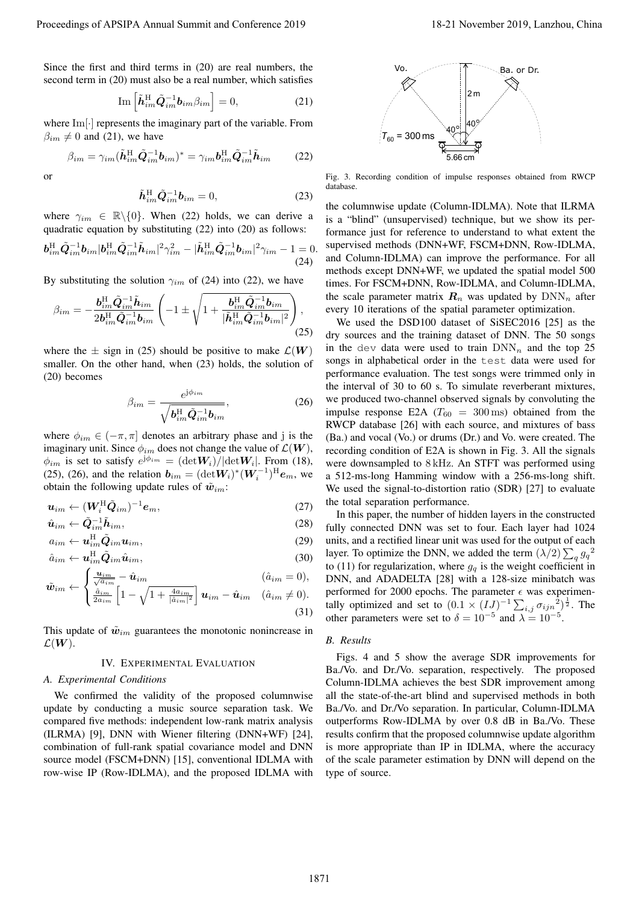Since the first and third terms in (20) are real numbers, the second term in (20) must also be a real number, which satisfies

$$
\operatorname{Im}\left[\tilde{\boldsymbol{h}}_{im}^{\mathrm{H}}\tilde{\boldsymbol{Q}}_{im}^{-1}\boldsymbol{b}_{im}\beta_{im}\right]=0,\tag{21}
$$

where Im[*·*] represents the imaginary part of the variable. From  $\beta_{im} \neq 0$  and (21), we have

$$
\beta_{im} = \gamma_{im} (\tilde{\boldsymbol{h}}_{im}^{\mathrm{H}} \tilde{\boldsymbol{Q}}_{im}^{-1} \boldsymbol{b}_{im})^* = \gamma_{im} \boldsymbol{b}_{im}^{\mathrm{H}} \tilde{\boldsymbol{Q}}_{im}^{-1} \tilde{\boldsymbol{h}}_{im}
$$
(22)

or

$$
\tilde{\boldsymbol{h}}_{im}^{\mathrm{H}} \tilde{\boldsymbol{Q}}_{im}^{-1} \boldsymbol{b}_{im} = 0, \tag{23}
$$

where  $\gamma_{im} \in \mathbb{R} \setminus \{0\}$ . When (22) holds, we can derive a quadratic equation by substituting (22) into (20) as follows:

$$
\boldsymbol{b}_{im}^{\rm H} \tilde{\boldsymbol{Q}}_{im}^{-1} \boldsymbol{b}_{im} |\boldsymbol{b}_{im}^{\rm H} \tilde{\boldsymbol{Q}}_{im}^{-1} \tilde{\boldsymbol{h}}_{im} |^{2} \gamma_{im}^{2} - |\tilde{\boldsymbol{h}}_{im}^{\rm H} \tilde{\boldsymbol{Q}}_{im}^{-1} \boldsymbol{b}_{im} |^{2} \gamma_{im} - 1 = 0.
$$
\n(24)

By substituting the solution  $\gamma_{im}$  of (24) into (22), we have

$$
\beta_{im} = -\frac{\bm{b}_{im}^{\rm H} \tilde{\bm{Q}}_{im}^{-1} \tilde{\bm{h}}_{im}}{2 \bm{b}_{im}^{\rm H} \tilde{\bm{Q}}_{im}^{-1} \bm{b}_{im}} \left( -1 \pm \sqrt{1 + \frac{\bm{b}_{im}^{\rm H} \tilde{\bm{Q}}_{im}^{-1} \bm{b}_{im}}{|\tilde{\bm{h}}_{im}^{\rm H} \tilde{\bm{Q}}_{im}^{-1} \bm{b}_{im}|^2}} \right),\tag{25}
$$

where the  $\pm$  sign in (25) should be positive to make  $\mathcal{L}(W)$ smaller. On the other hand, when (23) holds, the solution of (20) becomes

$$
\beta_{im} = \frac{e^{j\phi_{im}}}{\sqrt{b_{im}^{\text{H}}\tilde{Q}_{im}^{-1}b_{im}}},\tag{26}
$$

where  $\phi_{im} \in (-\pi, \pi]$  denotes an arbitrary phase and j is the imaginary unit. Since  $\phi_{im}$  does not change the value of  $\mathcal{L}(\boldsymbol{W})$ ,  $\phi_{im}$  is set to satisfy  $e^{j\phi_{im}} = (\text{det}W_i)/|\text{det}W_i|$ . From (18), (25), (26), and the relation  $b_{im} = (\det W_i)^*(W_i^{-1})^H e_m$ , we obtain the following update rules of  $\tilde{w}_{im}$ :

$$
\boldsymbol{u}_{im} \leftarrow (\boldsymbol{W}_i^{\mathrm{H}} \tilde{\boldsymbol{Q}}_{im})^{-1} \boldsymbol{e}_m, \tag{27}
$$

$$
\hat{\mathbf{u}}_{im} \leftarrow \tilde{\mathbf{Q}}_{im}^{-1} \tilde{\mathbf{h}}_{im},
$$
\n
$$
a_{im} \leftarrow \mathbf{u}_{im}^{\mathrm{H}} \tilde{\mathbf{Q}}_{im} \mathbf{u}_{im},
$$
\n(28)

$$
\hat{a}_{im} \leftarrow \boldsymbol{u}_{im}^{\mathrm{H}} \tilde{\boldsymbol{Q}}_{im} \hat{\boldsymbol{u}}_{im},\tag{30}
$$

$$
\tilde{\boldsymbol{w}}_{im} \leftarrow \begin{cases} \frac{\boldsymbol{u}_{im}}{\sqrt{a_{im}}} - \hat{\boldsymbol{u}}_{im} & (\hat{a}_{im} = 0),\\ \frac{\hat{a}_{im}}{\sqrt{a_{im}}} \left[1 - \sqrt{1 + \frac{4a_{im}}{\|\hat{a}\|_{im}^2}}\right] \boldsymbol{u}_{im} - \hat{\boldsymbol{u}}_{im} & (\hat{a}_{im} \neq 0). \end{cases}
$$

$$
\mathbf{w}_{im} \leftarrow \begin{cases} \frac{\hat{a}_{im}}{2a_{im}} \left[ 1 - \sqrt{1 + \frac{4a_{im}}{|\hat{a}_{im}|^2}} \right] \mathbf{u}_{im} - \hat{\mathbf{u}}_{im} & (\hat{a}_{im} \neq 0). \end{cases}
$$
(31)

This update of  $\tilde{w}_{im}$  guarantees the monotonic nonincrease in  $\mathcal{L}(\boldsymbol{W})$ .

#### IV. EXPERIMENTAL EVALUATION

#### *A. Experimental Conditions*

We confirmed the validity of the proposed columnwise update by conducting a music source separation task. We compared five methods: independent low-rank matrix analysis (ILRMA) [9], DNN with Wiener filtering (DNN+WF) [24], combination of full-rank spatial covariance model and DNN source model (FSCM+DNN) [15], conventional IDLMA with



Fig. 3. Recording condition of impulse responses obtained from RWCP database.

the columnwise update (Column-IDLMA). Note that ILRMA is a "blind" (unsupervised) technique, but we show its performance just for reference to understand to what extent the supervised methods (DNN+WF, FSCM+DNN, Row-IDLMA, and Column-IDLMA) can improve the performance. For all methods except DNN+WF, we updated the spatial model 500 times. For FSCM+DNN, Row-IDLMA, and Column-IDLMA, the scale parameter matrix  $R_n$  was updated by  $DNN_n$  after every 10 iterations of the spatial parameter optimization.

Im  $\left[\hat{h}_{\text{eff}}^{R}(Q_{\text{eff}}^{-1}\hat{b}_{\text{ion}},\beta_{\text{ion}}\right]=0$ . (21)<br>
Show  $\beta_{\text{eff}}=Q_{\text{tot}}\hat{R}_{\text{eff}}^{R}(Q_{\text{eff}}^{-1}\hat{b}_{\text{ion}}-1)$ .  $\beta_{\text{eff}}=Q_{\text{tot}}\hat{R}_{\text{eff}}^{R}(Q_{\text{eff}}^{-1}\hat{b}_{\text{ion}}-1)$ . (22)<br>  $\beta_{\text{eff}}=0$  continues the imaginary par We used the DSD100 dataset of SiSEC2016 [25] as the dry sources and the training dataset of DNN. The 50 songs in the dev data were used to train  $DNN_n$  and the top 25 songs in alphabetical order in the test data were used for performance evaluation. The test songs were trimmed only in the interval of 30 to 60 s. To simulate reverberant mixtures, we produced two-channel observed signals by convoluting the impulse response E2A ( $T_{60}$  = 300 ms) obtained from the RWCP database [26] with each source, and mixtures of bass (Ba.) and vocal (Vo.) or drums (Dr.) and Vo. were created. The recording condition of E2A is shown in Fig. 3. All the signals were downsampled to 8 kHz. An STFT was performed using a 512-ms-long Hamming window with a 256-ms-long shift. We used the signal-to-distortion ratio (SDR) [27] to evaluate the total separation performance. Proceedings of APSIPA Annual Summit and Conference 2019<br>
Summit and Conference 2019 18-21 November 2019 18-21 November 2019 18-21 November 2019 18-21 November 2019 18-21 November 2019 18-21 November 2019 18-21 November 20

In this paper, the number of hidden layers in the constructed fully connected DNN was set to four. Each layer had 1024 units, and a rectified linear unit was used for the output of each layer. To optimize the DNN, we added the term  $(\lambda/2) \sum_{q} g_q^2$ to (11) for regularization, where  $g_q$  is the weight coefficient in DNN, and ADADELTA [28] with a 128-size minibatch was performed for 2000 epochs. The parameter  $\epsilon$  was experimentally optimized and set to  $(0.1 \times (IJ)^{-1} \sum_{i,j} \sigma_{ijn}^2)^{\frac{1}{2}}$ . The other parameters were set to  $\delta = 10^{-5}$  and  $\lambda = 10^{-5}$ .

## *B. Results*

Figs. 4 and 5 show the average SDR improvements for Ba./Vo. and Dr./Vo. separation, respectively. The proposed Column-IDLMA achieves the best SDR improvement among all the state-of-the-art blind and supervised methods in both Ba./Vo. and Dr./Vo separation. In particular, Column-IDLMA outperforms Row-IDLMA by over 0.8 dB in Ba./Vo. These results confirm that the proposed columnwise update algorithm is more appropriate than IP in IDLMA, where the accuracy of the scale parameter estimation by DNN will depend on the type of source.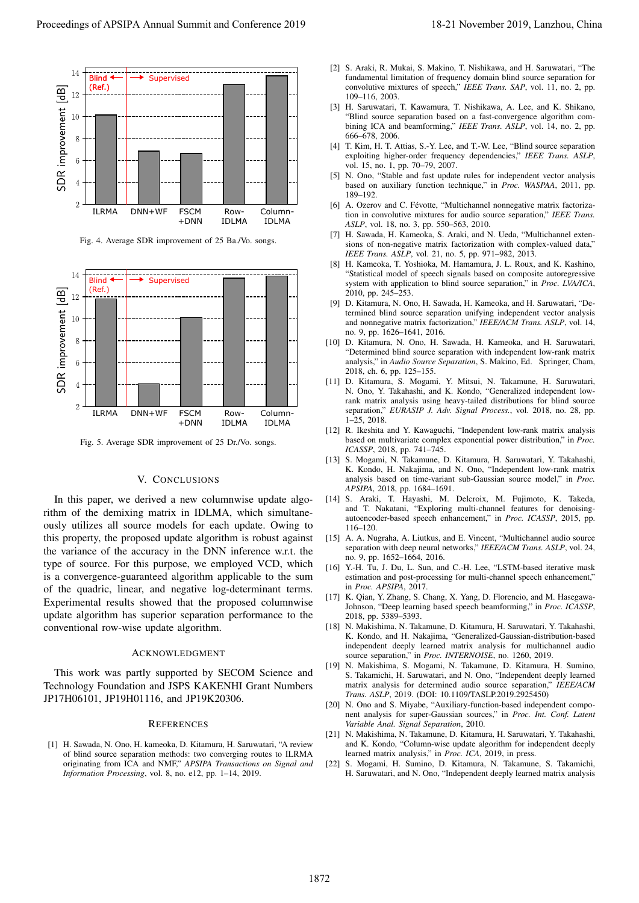

Fig. 4. Average SDR improvement of 25 Ba./Vo. songs.



Fig. 5. Average SDR improvement of 25 Dr./Vo. songs.

# V. CONCLUSIONS

In this paper, we derived a new columnwise update algorithm of the demixing matrix in IDLMA, which simultaneously utilizes all source models for each update. Owing to this property, the proposed update algorithm is robust against the variance of the accuracy in the DNN inference w.r.t. the type of source. For this purpose, we employed VCD, which is a convergence-guaranteed algorithm applicable to the sum of the quadric, linear, and negative log-determinant terms. Experimental results showed that the proposed columnwise update algorithm has superior separation performance to the conventional row-wise update algorithm.

## ACKNOWLEDGMENT

This work was partly supported by SECOM Science and Technology Foundation and JSPS KAKENHI Grant Numbers JP17H06101, JP19H01116, and JP19K20306.

## **REFERENCES**

[1] H. Sawada, N. Ono, H. kameoka, D. Kitamura, H. Saruwatari, "A review of blind source separation methods: two converging routes to ILRMA originating from ICA and NMF," *APSIPA Transactions on Signal and Information Processing*, vol. 8, no. e12, pp. 1–14, 2019.

- [2] S. Araki, R. Mukai, S. Makino, T. Nishikawa, and H. Saruwatari, "The fundamental limitation of frequency domain blind source separation for convolutive mixtures of speech," *IEEE Trans. SAP*, vol. 11, no. 2, pp. 109–116, 2003.
- [3] H. Saruwatari, T. Kawamura, T. Nishikawa, A. Lee, and K. Shikano, "Blind source separation based on a fast-convergence algorithm combining ICA and beamforming," *IEEE Trans. ASLP*, vol. 14, no. 2, pp. 666–678, 2006.
- [4] T. Kim, H. T. Attias, S.-Y. Lee, and T.-W. Lee, "Blind source separation exploiting higher-order frequency dependencies," *IEEE Trans. ASLP*, vol. 15, no. 1, pp. 70–79, 2007.
- [5] N. Ono, "Stable and fast update rules for independent vector analysis based on auxiliary function technique," in *Proc. WASPAA*, 2011, pp. 189–192.
- [6] A. Ozerov and C. Févotte, "Multichannel nonnegative matrix factorization in convolutive mixtures for audio source separation," *IEEE Trans. ASLP*, vol. 18, no. 3, pp. 550–563, 2010.
- [7] H. Sawada, H. Kameoka, S. Araki, and N. Ueda, "Multichannel extensions of non-negative matrix factorization with complex-valued data," *IEEE Trans. ASLP*, vol. 21, no. 5, pp. 971–982, 2013.
- [8] H. Kameoka, T. Yoshioka, M. Hamamura, J. L. Roux, and K. Kashino, "Statistical model of speech signals based on composite autoregressive system with application to blind source separation," in *Proc. LVA/ICA*, 2010, pp. 245–253.
- [9] D. Kitamura, N. Ono, H. Sawada, H. Kameoka, and H. Saruwatari, "Determined blind source separation unifying independent vector analysis and nonnegative matrix factorization," *IEEE/ACM Trans. ASLP*, vol. 14, no. 9, pp. 1626–1641, 2016.
- [10] D. Kitamura, N. Ono, H. Sawada, H. Kameoka, and H. Saruwatari, "Determined blind source separation with independent low-rank matrix analysis," in *Audio Source Separation*, S. Makino, Ed. Springer, Cham, 2018, ch. 6, pp. 125–155.
- [11] D. Kitamura, S. Mogami, Y. Mitsui, N. Takamune, H. Saruwatari, N. Ono, Y. Takahashi, and K. Kondo, "Generalized independent lowrank matrix analysis using heavy-tailed distributions for blind source separation," *EURASIP J. Adv. Signal Process.*, vol. 2018, no. 28, pp. 1–25, 2018.
- [12] R. Ikeshita and Y. Kawaguchi, "Independent low-rank matrix analysis based on multivariate complex exponential power distribution," in *Proc. ICASSP*, 2018, pp. 741–745.
- [13] S. Mogami, N. Takamune, D. Kitamura, H. Saruwatari, Y. Takahashi, K. Kondo, H. Nakajima, and N. Ono, "Independent low-rank matrix analysis based on time-variant sub-Gaussian source model," in *Proc. APSIPA*, 2018, pp. 1684–1691.
- [14] S. Araki, T. Hayashi, M. Delcroix, M. Fujimoto, K. Takeda, and T. Nakatani, "Exploring multi-channel features for denoisingautoencoder-based speech enhancement," in *Proc. ICASSP*, 2015, pp. 116–120.
- [15] A. A. Nugraha, A. Liutkus, and E. Vincent, "Multichannel audio source separation with deep neural networks," *IEEE/ACM Trans. ASLP*, vol. 24, no. 9, pp. 1652–1664, 2016.
- [16] Y.-H. Tu, J. Du, L. Sun, and C.-H. Lee, "LSTM-based iterative mask estimation and post-processing for multi-channel speech enhancement," in *Proc. APSIPA*, 2017.
- [17] K. Qian, Y. Zhang, S. Chang, X. Yang, D. Florencio, and M. Hasegawa-Johnson, "Deep learning based speech beamforming," in *Proc. ICASSP*, 2018, pp. 5389–5393.
- [18] N. Makishima, N. Takamune, D. Kitamura, H. Saruwatari, Y. Takahashi, K. Kondo, and H. Nakajima, "Generalized-Gaussian-distribution-based independent deeply learned matrix analysis for multichannel audio source separation," in *Proc. INTERNOISE*, no. 1260, 2019.
- [19] N. Makishima, S. Mogami, N. Takamune, D. Kitamura, H. Sumino, S. Takamichi, H. Saruwatari, and N. Ono, "Independent deeply learned matrix analysis for determined audio source separation," *IEEE/ACM Trans. ASLP*, 2019. (DOI: 10.1109/TASLP.2019.2925450)
- [20] N. Ono and S. Miyabe, "Auxiliary-function-based independent component analysis for super-Gaussian sources," in *Proc. Int. Conf. Latent Variable Anal. Signal Separation*, 2010.
- [21] N. Makishima, N. Takamune, D. Kitamura, H. Saruwatari, Y. Takahashi, and K. Kondo, "Column-wise update algorithm for independent deeply learned matrix analysis," in *Proc. ICA*, 2019, in press.
- [22] S. Mogami, H. Sumino, D. Kitamura, N. Takamune, S. Takamichi, H. Saruwatari, and N. Ono, "Independent deeply learned matrix analysis